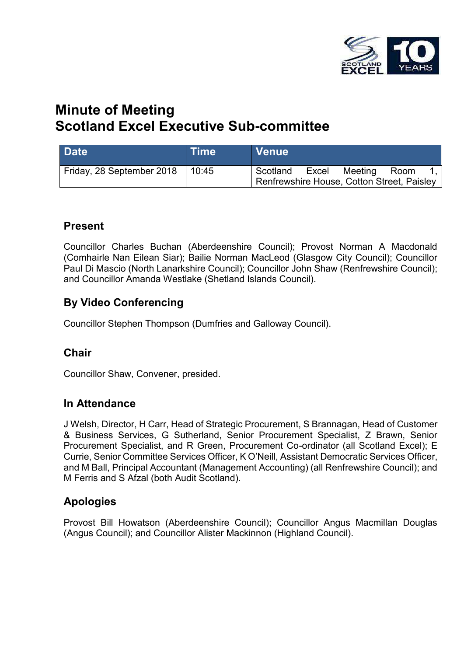

# **Minute of Meeting Scotland Excel Executive Sub-committee**

| <b>Date</b>               | <b>Time</b> | <b>Venue</b>                                           |       |         |      |  |
|---------------------------|-------------|--------------------------------------------------------|-------|---------|------|--|
| Friday, 28 September 2018 | 10:45       | Scotland<br>Renfrewshire House, Cotton Street, Paisley | Excel | Meeting | Room |  |

### **Present**

Councillor Charles Buchan (Aberdeenshire Council); Provost Norman A Macdonald (Comhairle Nan Eilean Siar); Bailie Norman MacLeod (Glasgow City Council); Councillor Paul Di Mascio (North Lanarkshire Council); Councillor John Shaw (Renfrewshire Council); and Councillor Amanda Westlake (Shetland Islands Council).

# **By Video Conferencing**

Councillor Stephen Thompson (Dumfries and Galloway Council).

### **Chair**

Councillor Shaw, Convener, presided.

### **In Attendance**

J Welsh, Director, H Carr, Head of Strategic Procurement, S Brannagan, Head of Customer & Business Services, G Sutherland, Senior Procurement Specialist, Z Brawn, Senior Procurement Specialist, and R Green, Procurement Co-ordinator (all Scotland Excel); E Currie, Senior Committee Services Officer, K O'Neill, Assistant Democratic Services Officer, and M Ball, Principal Accountant (Management Accounting) (all Renfrewshire Council); and M Ferris and S Afzal (both Audit Scotland).

# **Apologies**

Provost Bill Howatson (Aberdeenshire Council); Councillor Angus Macmillan Douglas (Angus Council); and Councillor Alister Mackinnon (Highland Council).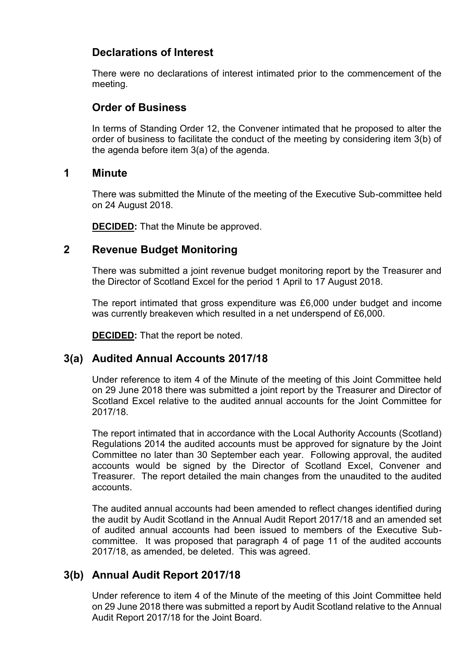# **Declarations of Interest**

There were no declarations of interest intimated prior to the commencement of the meeting.

### **Order of Business**

In terms of Standing Order 12, the Convener intimated that he proposed to alter the order of business to facilitate the conduct of the meeting by considering item 3(b) of the agenda before item 3(a) of the agenda.

#### **1 Minute**

There was submitted the Minute of the meeting of the Executive Sub-committee held on 24 August 2018.

**DECIDED:** That the Minute be approved.

### **2 Revenue Budget Monitoring**

There was submitted a joint revenue budget monitoring report by the Treasurer and the Director of Scotland Excel for the period 1 April to 17 August 2018.

The report intimated that gross expenditure was £6,000 under budget and income was currently breakeven which resulted in a net underspend of £6,000.

**DECIDED:** That the report be noted.

# **3(a) Audited Annual Accounts 2017/18**

Under reference to item 4 of the Minute of the meeting of this Joint Committee held on 29 June 2018 there was submitted a joint report by the Treasurer and Director of Scotland Excel relative to the audited annual accounts for the Joint Committee for 2017/18.

The report intimated that in accordance with the Local Authority Accounts (Scotland) Regulations 2014 the audited accounts must be approved for signature by the Joint Committee no later than 30 September each year. Following approval, the audited accounts would be signed by the Director of Scotland Excel, Convener and Treasurer. The report detailed the main changes from the unaudited to the audited accounts.

The audited annual accounts had been amended to reflect changes identified during the audit by Audit Scotland in the Annual Audit Report 2017/18 and an amended set of audited annual accounts had been issued to members of the Executive Subcommittee. It was proposed that paragraph 4 of page 11 of the audited accounts 2017/18, as amended, be deleted. This was agreed.

# **3(b) Annual Audit Report 2017/18**

Under reference to item 4 of the Minute of the meeting of this Joint Committee held on 29 June 2018 there was submitted a report by Audit Scotland relative to the Annual Audit Report 2017/18 for the Joint Board.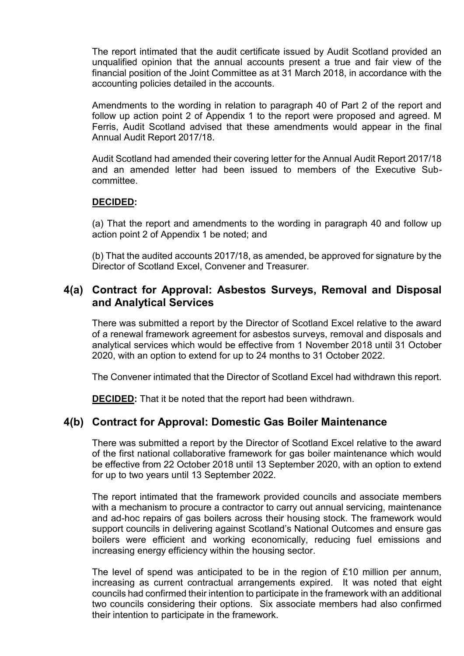The report intimated that the audit certificate issued by Audit Scotland provided an unqualified opinion that the annual accounts present a true and fair view of the financial position of the Joint Committee as at 31 March 2018, in accordance with the accounting policies detailed in the accounts.

Amendments to the wording in relation to paragraph 40 of Part 2 of the report and follow up action point 2 of Appendix 1 to the report were proposed and agreed. M Ferris, Audit Scotland advised that these amendments would appear in the final Annual Audit Report 2017/18.

Audit Scotland had amended their covering letter for the Annual Audit Report 2017/18 and an amended letter had been issued to members of the Executive Subcommittee.

#### **DECIDED:**

(a) That the report and amendments to the wording in paragraph 40 and follow up action point 2 of Appendix 1 be noted; and

(b) That the audited accounts 2017/18, as amended, be approved for signature by the Director of Scotland Excel, Convener and Treasurer.

#### **4(a) Contract for Approval: Asbestos Surveys, Removal and Disposal and Analytical Services**

There was submitted a report by the Director of Scotland Excel relative to the award of a renewal framework agreement for asbestos surveys, removal and disposals and analytical services which would be effective from 1 November 2018 until 31 October 2020, with an option to extend for up to 24 months to 31 October 2022.

The Convener intimated that the Director of Scotland Excel had withdrawn this report.

**DECIDED:** That it be noted that the report had been withdrawn.

#### **4(b) Contract for Approval: Domestic Gas Boiler Maintenance**

There was submitted a report by the Director of Scotland Excel relative to the award of the first national collaborative framework for gas boiler maintenance which would be effective from 22 October 2018 until 13 September 2020, with an option to extend for up to two years until 13 September 2022.

The report intimated that the framework provided councils and associate members with a mechanism to procure a contractor to carry out annual servicing, maintenance and ad-hoc repairs of gas boilers across their housing stock. The framework would support councils in delivering against Scotland's National Outcomes and ensure gas boilers were efficient and working economically, reducing fuel emissions and increasing energy efficiency within the housing sector.

The level of spend was anticipated to be in the region of  $£10$  million per annum, increasing as current contractual arrangements expired. It was noted that eight councils had confirmed their intention to participate in the framework with an additional two councils considering their options. Six associate members had also confirmed their intention to participate in the framework.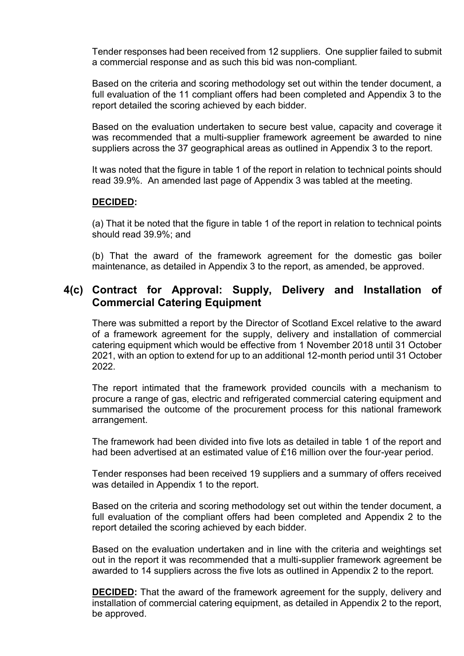Tender responses had been received from 12 suppliers. One supplier failed to submit a commercial response and as such this bid was non-compliant.

Based on the criteria and scoring methodology set out within the tender document, a full evaluation of the 11 compliant offers had been completed and Appendix 3 to the report detailed the scoring achieved by each bidder.

Based on the evaluation undertaken to secure best value, capacity and coverage it was recommended that a multi-supplier framework agreement be awarded to nine suppliers across the 37 geographical areas as outlined in Appendix 3 to the report.

It was noted that the figure in table 1 of the report in relation to technical points should read 39.9%. An amended last page of Appendix 3 was tabled at the meeting.

#### **DECIDED:**

(a) That it be noted that the figure in table 1 of the report in relation to technical points should read 39.9%; and

(b) That the award of the framework agreement for the domestic gas boiler maintenance, as detailed in Appendix 3 to the report, as amended, be approved.

### **4(c) Contract for Approval: Supply, Delivery and Installation of Commercial Catering Equipment**

There was submitted a report by the Director of Scotland Excel relative to the award of a framework agreement for the supply, delivery and installation of commercial catering equipment which would be effective from 1 November 2018 until 31 October 2021, with an option to extend for up to an additional 12-month period until 31 October 2022.

The report intimated that the framework provided councils with a mechanism to procure a range of gas, electric and refrigerated commercial catering equipment and summarised the outcome of the procurement process for this national framework arrangement.

The framework had been divided into five lots as detailed in table 1 of the report and had been advertised at an estimated value of £16 million over the four-year period.

Tender responses had been received 19 suppliers and a summary of offers received was detailed in Appendix 1 to the report.

Based on the criteria and scoring methodology set out within the tender document, a full evaluation of the compliant offers had been completed and Appendix 2 to the report detailed the scoring achieved by each bidder.

Based on the evaluation undertaken and in line with the criteria and weightings set out in the report it was recommended that a multi-supplier framework agreement be awarded to 14 suppliers across the five lots as outlined in Appendix 2 to the report.

**DECIDED:** That the award of the framework agreement for the supply, delivery and installation of commercial catering equipment, as detailed in Appendix 2 to the report, be approved.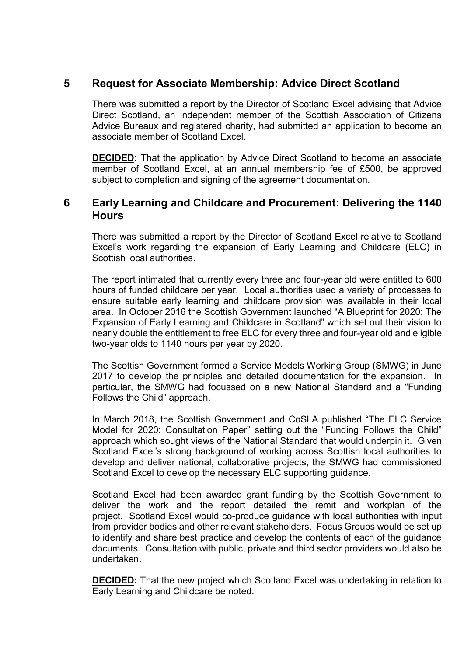#### **5 Request for Associate Membership: Advice Direct Scotland**

There was submitted a report by the Director of Scotland Excel advising that Advice Direct Scotland, an independent member of the Scottish Association of Citizens Advice Bureaux and registered charity, had submitted an application to become an associate member of Scotland Excel.

**DECIDED:** That the application by Advice Direct Scotland to become an associate member of Scotland Excel, at an annual membership fee of £500, be approved subject to completion and signing of the agreement documentation.

#### **6 Early Learning and Childcare and Procurement: Delivering the 1140 Hours**

There was submitted a report by the Director of Scotland Excel relative to Scotland Excel's work regarding the expansion of Early Learning and Childcare (ELC) in Scottish local authorities.

The report intimated that currently every three and four-year old were entitled to 600 hours of funded childcare per year. Local authorities used a variety of processes to ensure suitable early learning and childcare provision was available in their local area. In October 2016 the Scottish Government launched "A Blueprint for 2020: The Expansion of Early Learning and Childcare in Scotland" which set out their vision to nearly double the entitlement to free ELC for every three and four-year old and eligible two-year olds to 1140 hours per year by 2020.

The Scottish Government formed a Service Models Working Group (SMWG) in June 2017 to develop the principles and detailed documentation for the expansion. In particular, the SMWG had focussed on a new National Standard and a "Funding Follows the Child" approach.

In March 2018, the Scottish Government and CoSLA published "The ELC Service Model for 2020: Consultation Paper" setting out the "Funding Follows the Child" approach which sought views of the National Standard that would underpin it. Given Scotland Excel's strong background of working across Scottish local authorities to develop and deliver national, collaborative projects, the SMWG had commissioned Scotland Excel to develop the necessary ELC supporting guidance.

Scotland Excel had been awarded grant funding by the Scottish Government to deliver the work and the report detailed the remit and workplan of the project. Scotland Excel would co-produce guidance with local authorities with input from provider bodies and other relevant stakeholders. Focus Groups would be set up to identify and share best practice and develop the contents of each of the guidance documents. Consultation with public, private and third sector providers would also be undertaken.

**DECIDED:** That the new project which Scotland Excel was undertaking in relation to Early Learning and Childcare be noted.